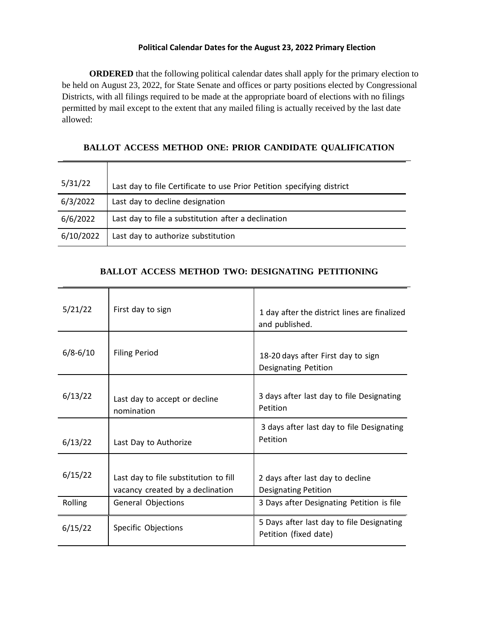## **Political Calendar Dates for the August 23, 2022 Primary Election**

**ORDERED** that the following political calendar dates shall apply for the primary election to be held on August 23, 2022, for State Senate and offices or party positions elected by Congressional Districts, with all filings required to be made at the appropriate board of elections with no filings permitted by mail except to the extent that any mailed filing is actually received by the last date allowed:

**BALLOT ACCESS METHOD ONE: PRIOR CANDIDATE QUALIFICATION**

| 5/31/22   | Last day to file Certificate to use Prior Petition specifying district |
|-----------|------------------------------------------------------------------------|
| 6/3/2022  | Last day to decline designation                                        |
| 6/6/2022  | Last day to file a substitution after a declination                    |
| 6/10/2022 | Last day to authorize substitution                                     |

## **BALLOT ACCESS METHOD TWO: DESIGNATING PETITIONING**

| 5/21/22      | First day to sign                                                         | 1 day after the district lines are finalized<br>and published.     |
|--------------|---------------------------------------------------------------------------|--------------------------------------------------------------------|
| $6/8 - 6/10$ | <b>Filing Period</b>                                                      | 18-20 days after First day to sign<br>Designating Petition         |
| 6/13/22      | Last day to accept or decline<br>nomination                               | 3 days after last day to file Designating<br>Petition              |
| 6/13/22      | Last Day to Authorize                                                     | 3 days after last day to file Designating<br>Petition              |
| 6/15/22      | Last day to file substitution to fill<br>vacancy created by a declination | 2 days after last day to decline<br><b>Designating Petition</b>    |
| Rolling      | General Objections                                                        | 3 Days after Designating Petition is file                          |
| 6/15/22      | Specific Objections                                                       | 5 Days after last day to file Designating<br>Petition (fixed date) |